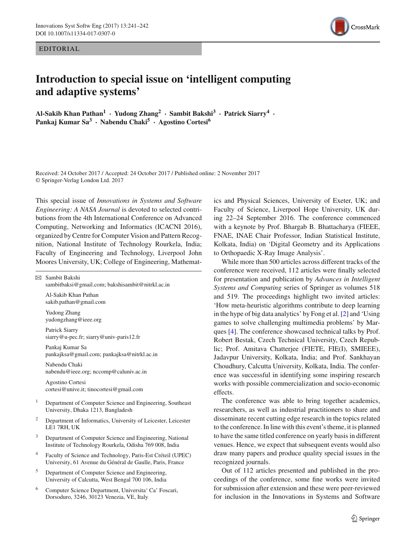EDITORIAL

## CrossMark

## **Introduction to special issue on 'intelligent computing and adaptive systems'**

**Al-Sakib Khan Pathan1 · Yudong Zhang2 · Sambit Bakshi3 · Patrick Siarry4 · Pankaj Kumar Sa3 · Nabendu Chaki<sup>5</sup> · Agostino Cortesi<sup>6</sup>**

Received: 24 October 2017 / Accepted: 24 October 2017 / Published online: 2 November 2017 © Springer-Verlag London Ltd. 2017

This special issue of *Innovations in Systems and Software Engineering: A NASA Journal* is devoted to selected contributions from the 4th International Conference on Advanced Computing, Networking and Informatics (ICACNI 2016), organized by Centre for Computer Vision and Pattern Recognition, National Institute of Technology Rourkela, India; Faculty of Engineering and Technology, Liverpool John Moores University, UK; College of Engineering, Mathemat-

 $\boxtimes$  Sambit Bakshi sambitbaksi@gmail.com; bakshisambit@nitrkl.ac.in

Al-Sakib Khan Pathan sakib.pathan@gmail.com

Yudong Zhang yudongzhang@ieee.org

Patrick Siarry siarry@u-pec.fr; siarry@univ-paris12.fr

Pankaj Kumar Sa pankajksa@gmail.com; pankajksa@nitrkl.ac.in

Nabendu Chaki nabendu@ieee.org; nccomp@caluniv.ac.in

Agostino Cortesi cortesi@unive.it; tinocortesi@gmail.com

- <sup>1</sup> Department of Computer Science and Engineering, Southeast University, Dhaka 1213, Bangladesh
- <sup>2</sup> Department of Informatics, University of Leicester, Leicester LE1 7RH, UK
- <sup>3</sup> Department of Computer Science and Engineering, National Institute of Technology Rourkela, Odisha 769 008, India
- <sup>4</sup> Faculty of Science and Technology, Paris-Est Créteil (UPEC) University, 61 Avenue du Général de Gaulle, Paris, France
- <sup>5</sup> Department of Computer Science and Engineering, University of Calcutta, West Bengal 700 106, India
- <sup>6</sup> Computer Science Department, Universita' Ca' Foscari, Dorsoduro, 3246, 30123 Venezia, VE, Italy

ics and Physical Sciences, University of Exeter, UK; and Faculty of Science, Liverpool Hope University, UK during 22–24 September 2016. The conference commenced with a keynote by Prof. Bhargab B. Bhattacharya (FIEEE, FNAE, INAE Chair Professor, Indian Statistical Institute, Kolkata, India) on 'Digital Geometry and its Applications to Orthopaedic X-Ray Image Analysis'.

While more than 500 articles across different tracks of the conference were received, 112 articles were finally selected for presentation and publication by *Advances in Intelligent Systems and Computing* series of Springer as volumes 518 and 519. The proceedings highlight two invited articles: 'How meta-heuristic algorithms contribute to deep learning in the hype of big data analytics' by Fong et al. [\[2](#page-1-0)] and 'Using games to solve challenging multimedia problems' by Marques [\[4](#page-1-1)]. The conference showcased technical talks by Prof. Robert Bestak, Czech Technical University, Czech Republic; Prof. Amitava Chatterjee (FIETE, FIE(I), SMIEEE), Jadavpur University, Kolkata, India; and Prof. Sankhayan Choudhury, Calcutta University, Kolkata, India. The conference was successful in identifying some inspiring research works with possible commercialization and socio-economic effects.

The conference was able to bring together academics, researchers, as well as industrial practitioners to share and disseminate recent cutting edge research in the topics related to the conference. In line with this event's theme, it is planned to have the same titled conference on yearly basis in different venues. Hence, we expect that subsequent events would also draw many papers and produce quality special issues in the recognized journals.

Out of 112 articles presented and published in the proceedings of the conference, some fine works were invited for submission after extension and these were peer-reviewed for inclusion in the Innovations in Systems and Software